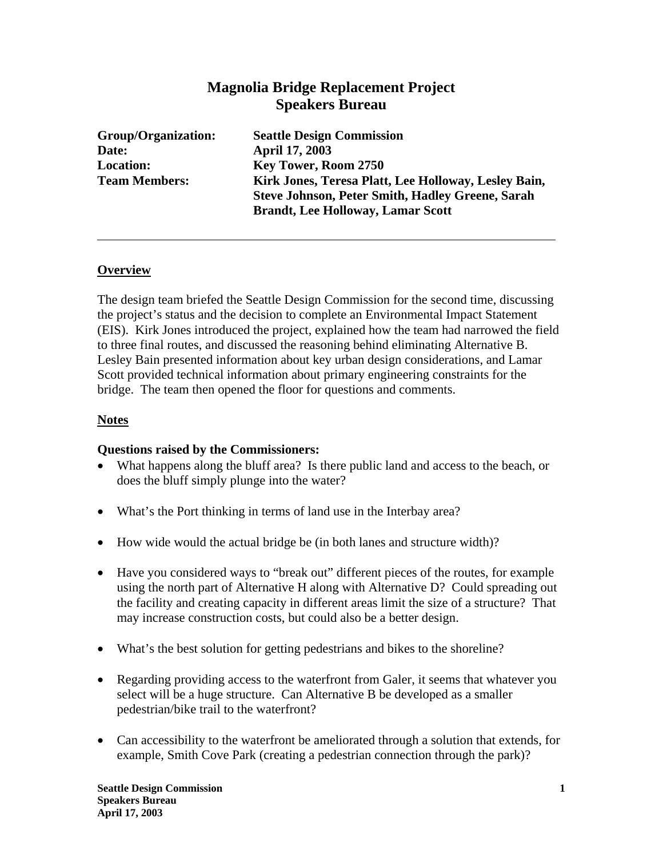# **Magnolia Bridge Replacement Project Speakers Bureau**

| Group/Organization:  | <b>Seattle Design Commission</b>                        |
|----------------------|---------------------------------------------------------|
| Date:                | <b>April 17, 2003</b>                                   |
| <b>Location:</b>     | Key Tower, Room 2750                                    |
| <b>Team Members:</b> | Kirk Jones, Teresa Platt, Lee Holloway, Lesley Bain,    |
|                      | <b>Steve Johnson, Peter Smith, Hadley Greene, Sarah</b> |
|                      | <b>Brandt, Lee Holloway, Lamar Scott</b>                |

# **Overview**

The design team briefed the Seattle Design Commission for the second time, discussing the project's status and the decision to complete an Environmental Impact Statement (EIS). Kirk Jones introduced the project, explained how the team had narrowed the field to three final routes, and discussed the reasoning behind eliminating Alternative B. Lesley Bain presented information about key urban design considerations, and Lamar Scott provided technical information about primary engineering constraints for the bridge. The team then opened the floor for questions and comments.

#### **Notes**

#### **Questions raised by the Commissioners:**

- What happens along the bluff area? Is there public land and access to the beach, or does the bluff simply plunge into the water?
- What's the Port thinking in terms of land use in the Interbay area?
- How wide would the actual bridge be (in both lanes and structure width)?
- Have you considered ways to "break out" different pieces of the routes, for example using the north part of Alternative H along with Alternative D? Could spreading out the facility and creating capacity in different areas limit the size of a structure? That may increase construction costs, but could also be a better design.
- What's the best solution for getting pedestrians and bikes to the shoreline?
- Regarding providing access to the waterfront from Galer, it seems that whatever you select will be a huge structure. Can Alternative B be developed as a smaller pedestrian/bike trail to the waterfront?
- Can accessibility to the waterfront be ameliorated through a solution that extends, for example, Smith Cove Park (creating a pedestrian connection through the park)?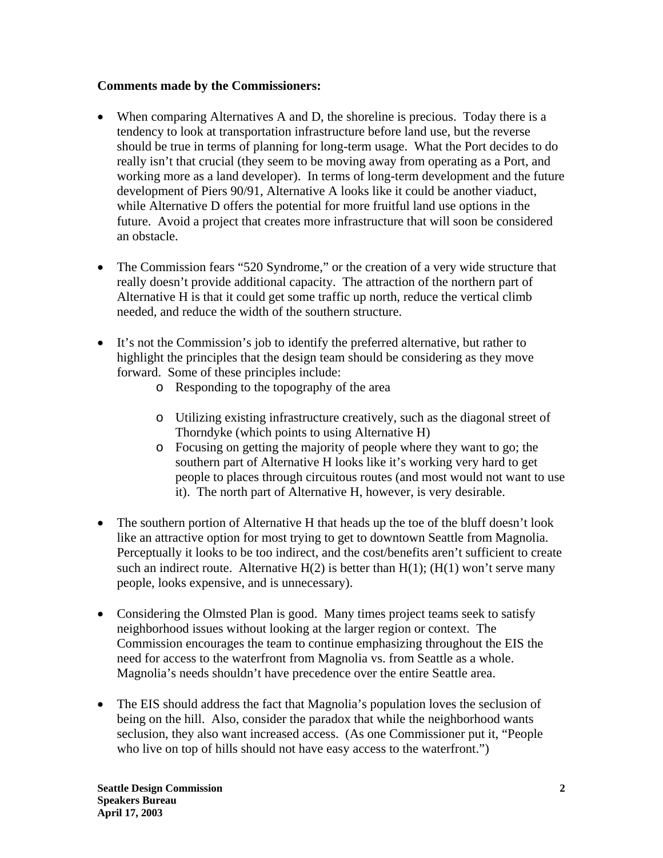# **Comments made by the Commissioners:**

- When comparing Alternatives A and D, the shoreline is precious. Today there is a tendency to look at transportation infrastructure before land use, but the reverse should be true in terms of planning for long-term usage. What the Port decides to do really isn't that crucial (they seem to be moving away from operating as a Port, and working more as a land developer). In terms of long-term development and the future development of Piers 90/91, Alternative A looks like it could be another viaduct, while Alternative D offers the potential for more fruitful land use options in the future. Avoid a project that creates more infrastructure that will soon be considered an obstacle.
- The Commission fears "520 Syndrome," or the creation of a very wide structure that really doesn't provide additional capacity. The attraction of the northern part of Alternative H is that it could get some traffic up north, reduce the vertical climb needed, and reduce the width of the southern structure.
- It's not the Commission's job to identify the preferred alternative, but rather to highlight the principles that the design team should be considering as they move forward. Some of these principles include:
	- o Responding to the topography of the area
	- o Utilizing existing infrastructure creatively, such as the diagonal street of Thorndyke (which points to using Alternative H)
	- o Focusing on getting the majority of people where they want to go; the southern part of Alternative H looks like it's working very hard to get people to places through circuitous routes (and most would not want to use it). The north part of Alternative H, however, is very desirable.
- The southern portion of Alternative H that heads up the toe of the bluff doesn't look like an attractive option for most trying to get to downtown Seattle from Magnolia. Perceptually it looks to be too indirect, and the cost/benefits aren't sufficient to create such an indirect route. Alternative  $H(2)$  is better than  $H(1)$ ; ( $H(1)$  won't serve many people, looks expensive, and is unnecessary).
- Considering the Olmsted Plan is good. Many times project teams seek to satisfy neighborhood issues without looking at the larger region or context. The Commission encourages the team to continue emphasizing throughout the EIS the need for access to the waterfront from Magnolia vs. from Seattle as a whole. Magnolia's needs shouldn't have precedence over the entire Seattle area.
- The EIS should address the fact that Magnolia's population loves the seclusion of being on the hill. Also, consider the paradox that while the neighborhood wants seclusion, they also want increased access. (As one Commissioner put it, "People who live on top of hills should not have easy access to the waterfront.")